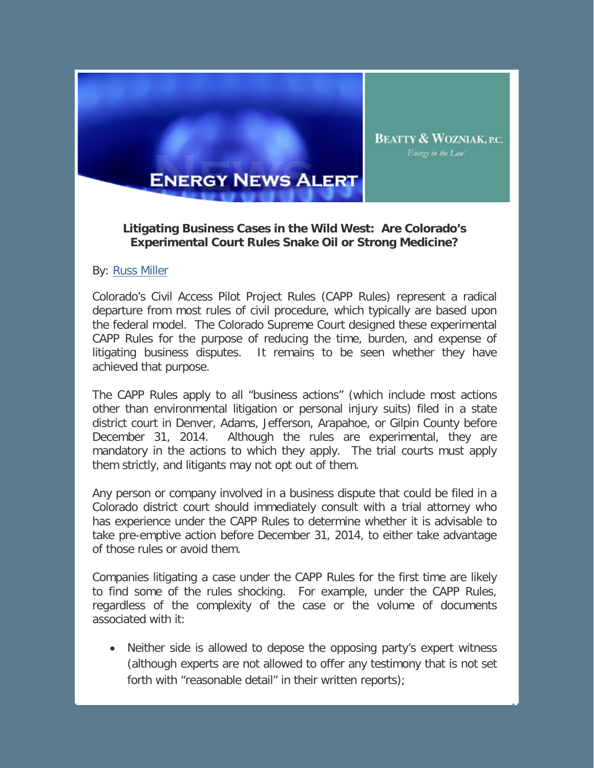

## **ENERGY NEWS ALERT**

## **Litigating Business Cases in the Wild West: Are Colorado's Experimental Court Rules Snake Oil or Strong Medicine?**

## By: Russ Miller

Colorado's Civil Access Pilot Project Rules (CAPP Rules) represent a radical departure from most rules of civil procedure, which typically are based upon the federal model. The Colorado Supreme Court designed these experimental CAPP Rules for the purpose of reducing the time, burden, and expense of litigating business disputes. It remains to be seen whether they have achieved that purpose.

The CAPP Rules apply to all "business actions" (which include most actions other than environmental litigation or personal injury suits) filed in a state district court in Denver, Adams, Jefferson, Arapahoe, or Gilpin County before December 31, 2014. Although the rules are experimental, they are mandatory in the actions to which they apply. The trial courts must apply them strictly, and litigants may not opt out of them.

Any person or company involved in a business dispute that could be filed in a Colorado district court should immediately consult with a trial attorney who has experience under the CAPP Rules to determine whether it is advisable to take pre-emptive action before December 31, 2014, to either take advantage of those rules or avoid them.

Companies litigating a case under the CAPP Rules for the first time are likely to find some of the rules shocking. For example, under the CAPP Rules, regardless of the complexity of the case or the volume of documents associated with it:

• Neither side is allowed to depose the opposing party's expert witness (although experts are not allowed to offer any testimony that is not set forth with "reasonable detail" in their written reports);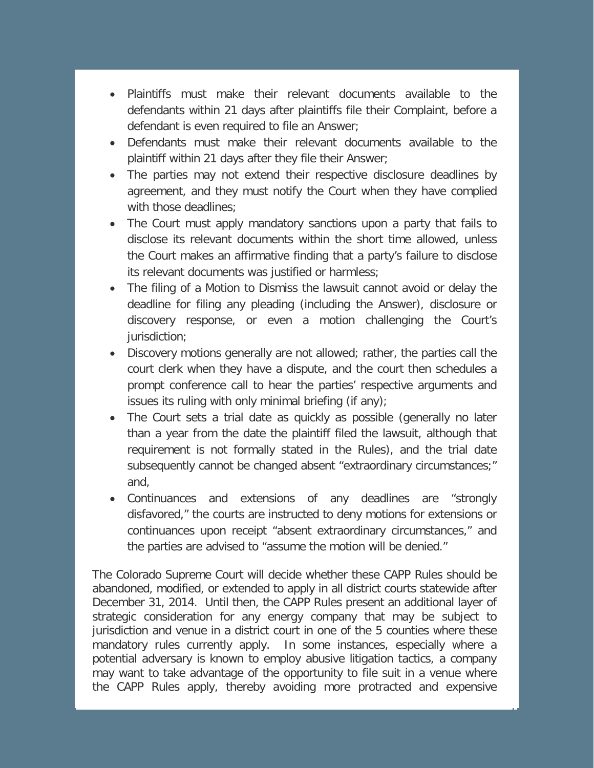- Plaintiffs must make their relevant documents available to the defendants within 21 days after plaintiffs file their Complaint, before a defendant is even required to file an Answer;
- Defendants must make their relevant documents available to the plaintiff within 21 days after they file their Answer;
- The parties may not extend their respective disclosure deadlines by agreement, and they must notify the Court when they have complied with those deadlines;
- The Court must apply mandatory sanctions upon a party that fails to disclose its relevant documents within the short time allowed, unless the Court makes an affirmative finding that a party's failure to disclose its relevant documents was justified or harmless;
- The filing of a Motion to Dismiss the lawsuit cannot avoid or delay the deadline for filing any pleading (including the Answer), disclosure or discovery response, or even a motion challenging the Court's jurisdiction;
- Discovery motions generally are not allowed; rather, the parties call the court clerk when they have a dispute, and the court then schedules a prompt conference call to hear the parties' respective arguments and issues its ruling with only minimal briefing (if any);
- The Court sets a trial date as quickly as possible (generally no later than a year from the date the plaintiff filed the lawsuit, although that requirement is not formally stated in the Rules), and the trial date subsequently cannot be changed absent "extraordinary circumstances;" and,
- Continuances and extensions of any deadlines are "strongly disfavored," the courts are instructed to deny motions for extensions or continuances upon receipt "absent extraordinary circumstances," and the parties are advised to "assume the motion will be denied."

The Colorado Supreme Court will decide whether these CAPP Rules should be abandoned, modified, or extended to apply in all district courts statewide after December 31, 2014. Until then, the CAPP Rules present an additional layer of strategic consideration for any energy company that may be subject to jurisdiction and venue in a district court in one of the 5 counties where these mandatory rules currently apply. In some instances, especially where a potential adversary is known to employ abusive litigation tactics, a company may want to take advantage of the opportunity to file suit in a venue where the CAPP Rules apply, thereby avoiding more protracted and expensive